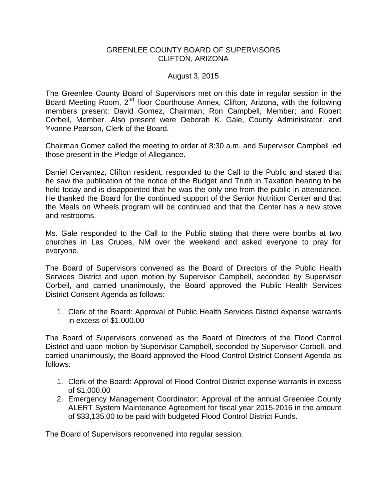## GREENLEE COUNTY BOARD OF SUPERVISORS CLIFTON, ARIZONA

## August 3, 2015

The Greenlee County Board of Supervisors met on this date in regular session in the Board Meeting Room, 2<sup>nd</sup> floor Courthouse Annex, Clifton, Arizona, with the following members present: David Gomez, Chairman; Ron Campbell, Member; and Robert Corbell, Member. Also present were Deborah K. Gale, County Administrator, and Yvonne Pearson, Clerk of the Board.

Chairman Gomez called the meeting to order at 8:30 a.m. and Supervisor Campbell led those present in the Pledge of Allegiance.

Daniel Cervantez, Clifton resident, responded to the Call to the Public and stated that he saw the publication of the notice of the Budget and Truth in Taxation hearing to be held today and is disappointed that he was the only one from the public in attendance. He thanked the Board for the continued support of the Senior Nutrition Center and that the Meals on Wheels program will be continued and that the Center has a new stove and restrooms.

Ms. Gale responded to the Call to the Public stating that there were bombs at two churches in Las Cruces, NM over the weekend and asked everyone to pray for everyone.

The Board of Supervisors convened as the Board of Directors of the Public Health Services District and upon motion by Supervisor Campbell, seconded by Supervisor Corbell, and carried unanimously, the Board approved the Public Health Services District Consent Agenda as follows:

1. Clerk of the Board: Approval of Public Health Services District expense warrants in excess of \$1,000.00

The Board of Supervisors convened as the Board of Directors of the Flood Control District and upon motion by Supervisor Campbell, seconded by Supervisor Corbell, and carried unanimously, the Board approved the Flood Control District Consent Agenda as follows:

- 1. Clerk of the Board: Approval of Flood Control District expense warrants in excess of \$1,000.00
- 2. Emergency Management Coordinator: Approval of the annual Greenlee County ALERT System Maintenance Agreement for fiscal year 2015-2016 in the amount of \$33,135.00 to be paid with budgeted Flood Control District Funds.

The Board of Supervisors reconvened into regular session.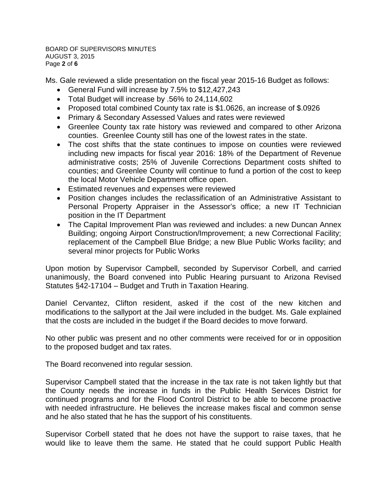BOARD OF SUPERVISORS MINUTES AUGUST 3, 2015 Page **2** of **6**

Ms. Gale reviewed a slide presentation on the fiscal year 2015-16 Budget as follows:

- General Fund will increase by 7.5% to \$12,427,243
- Total Budget will increase by .56% to 24,114,602
- Proposed total combined County tax rate is \$1.0626, an increase of \$.0926
- Primary & Secondary Assessed Values and rates were reviewed
- Greenlee County tax rate history was reviewed and compared to other Arizona counties. Greenlee County still has one of the lowest rates in the state.
- The cost shifts that the state continues to impose on counties were reviewed including new impacts for fiscal year 2016: 18% of the Department of Revenue administrative costs; 25% of Juvenile Corrections Department costs shifted to counties; and Greenlee County will continue to fund a portion of the cost to keep the local Motor Vehicle Department office open.
- Estimated revenues and expenses were reviewed
- Position changes includes the reclassification of an Administrative Assistant to Personal Property Appraiser in the Assessor's office; a new IT Technician position in the IT Department
- The Capital Improvement Plan was reviewed and includes: a new Duncan Annex Building; ongoing Airport Construction/Improvement; a new Correctional Facility; replacement of the Campbell Blue Bridge; a new Blue Public Works facility; and several minor projects for Public Works

Upon motion by Supervisor Campbell, seconded by Supervisor Corbell, and carried unanimously, the Board convened into Public Hearing pursuant to Arizona Revised Statutes §42-17104 – Budget and Truth in Taxation Hearing.

Daniel Cervantez, Clifton resident, asked if the cost of the new kitchen and modifications to the sallyport at the Jail were included in the budget. Ms. Gale explained that the costs are included in the budget if the Board decides to move forward.

No other public was present and no other comments were received for or in opposition to the proposed budget and tax rates.

The Board reconvened into regular session.

Supervisor Campbell stated that the increase in the tax rate is not taken lightly but that the County needs the increase in funds in the Public Health Services District for continued programs and for the Flood Control District to be able to become proactive with needed infrastructure. He believes the increase makes fiscal and common sense and he also stated that he has the support of his constituents.

Supervisor Corbell stated that he does not have the support to raise taxes, that he would like to leave them the same. He stated that he could support Public Health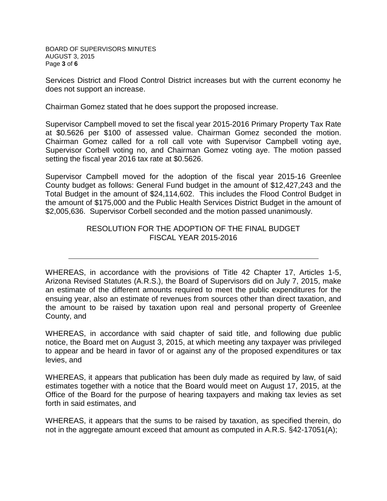BOARD OF SUPERVISORS MINUTES AUGUST 3, 2015 Page **3** of **6**

Services District and Flood Control District increases but with the current economy he does not support an increase.

Chairman Gomez stated that he does support the proposed increase.

Supervisor Campbell moved to set the fiscal year 2015-2016 Primary Property Tax Rate at \$0.5626 per \$100 of assessed value. Chairman Gomez seconded the motion. Chairman Gomez called for a roll call vote with Supervisor Campbell voting aye, Supervisor Corbell voting no, and Chairman Gomez voting aye. The motion passed setting the fiscal year 2016 tax rate at \$0.5626.

Supervisor Campbell moved for the adoption of the fiscal year 2015-16 Greenlee County budget as follows: General Fund budget in the amount of \$12,427,243 and the Total Budget in the amount of \$24,114,602. This includes the Flood Control Budget in the amount of \$175,000 and the Public Health Services District Budget in the amount of \$2,005,636. Supervisor Corbell seconded and the motion passed unanimously.

## RESOLUTION FOR THE ADOPTION OF THE FINAL BUDGET FISCAL YEAR 2015-2016

WHEREAS, in accordance with the provisions of Title 42 Chapter 17, Articles 1-5, Arizona Revised Statutes (A.R.S.), the Board of Supervisors did on July 7, 2015, make an estimate of the different amounts required to meet the public expenditures for the ensuing year, also an estimate of revenues from sources other than direct taxation, and the amount to be raised by taxation upon real and personal property of Greenlee County, and

WHEREAS, in accordance with said chapter of said title, and following due public notice, the Board met on August 3, 2015, at which meeting any taxpayer was privileged to appear and be heard in favor of or against any of the proposed expenditures or tax levies, and

WHEREAS, it appears that publication has been duly made as required by law, of said estimates together with a notice that the Board would meet on August 17, 2015, at the Office of the Board for the purpose of hearing taxpayers and making tax levies as set forth in said estimates, and

WHEREAS, it appears that the sums to be raised by taxation, as specified therein, do not in the aggregate amount exceed that amount as computed in A.R.S. §42-17051(A);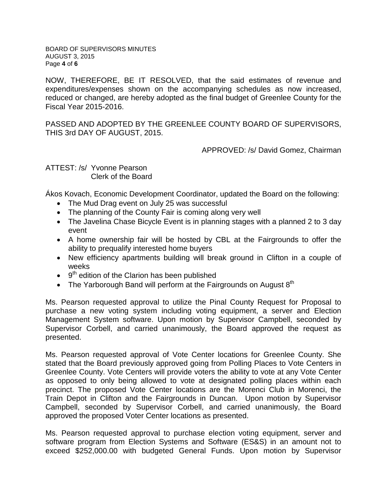BOARD OF SUPERVISORS MINUTES AUGUST 3, 2015 Page **4** of **6**

NOW, THEREFORE, BE IT RESOLVED, that the said estimates of revenue and expenditures/expenses shown on the accompanying schedules as now increased, reduced or changed, are hereby adopted as the final budget of Greenlee County for the Fiscal Year 2015-2016.

PASSED AND ADOPTED BY THE GREENLEE COUNTY BOARD OF SUPERVISORS, THIS 3rd DAY OF AUGUST, 2015.

APPROVED: /s/ David Gomez, Chairman

ATTEST: /s/ Yvonne Pearson Clerk of the Board

Ákos Kovach, Economic Development Coordinator, updated the Board on the following:

- The Mud Drag event on July 25 was successful
- The planning of the County Fair is coming along very well
- The Javelina Chase Bicycle Event is in planning stages with a planned 2 to 3 day event
- A home ownership fair will be hosted by CBL at the Fairgrounds to offer the ability to prequalify interested home buyers
- New efficiency apartments building will break ground in Clifton in a couple of weeks
- $\bullet$   $9<sup>th</sup>$  edition of the Clarion has been published
- The Yarborough Band will perform at the Fairgrounds on August  $8<sup>th</sup>$

Ms. Pearson requested approval to utilize the Pinal County Request for Proposal to purchase a new voting system including voting equipment, a server and Election Management System software. Upon motion by Supervisor Campbell, seconded by Supervisor Corbell, and carried unanimously, the Board approved the request as presented.

Ms. Pearson requested approval of Vote Center locations for Greenlee County. She stated that the Board previously approved going from Polling Places to Vote Centers in Greenlee County. Vote Centers will provide voters the ability to vote at any Vote Center as opposed to only being allowed to vote at designated polling places within each precinct. The proposed Vote Center locations are the Morenci Club in Morenci, the Train Depot in Clifton and the Fairgrounds in Duncan. Upon motion by Supervisor Campbell, seconded by Supervisor Corbell, and carried unanimously, the Board approved the proposed Voter Center locations as presented.

Ms. Pearson requested approval to purchase election voting equipment, server and software program from Election Systems and Software (ES&S) in an amount not to exceed \$252,000.00 with budgeted General Funds. Upon motion by Supervisor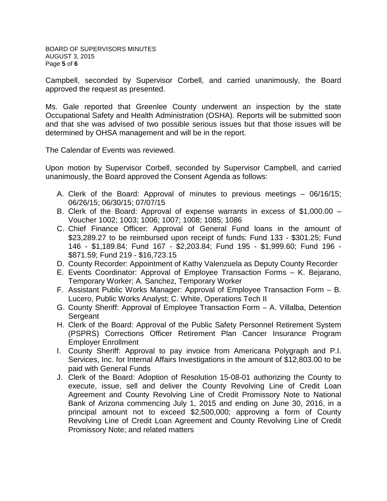Campbell, seconded by Supervisor Corbell, and carried unanimously, the Board approved the request as presented.

Ms. Gale reported that Greenlee County underwent an inspection by the state Occupational Safety and Health Administration (OSHA). Reports will be submitted soon and that she was advised of two possible serious issues but that those issues will be determined by OHSA management and will be in the report.

The Calendar of Events was reviewed.

Upon motion by Supervisor Corbell, seconded by Supervisor Campbell, and carried unanimously, the Board approved the Consent Agenda as follows:

- A. Clerk of the Board: Approval of minutes to previous meetings 06/16/15; 06/26/15; 06/30/15; 07/07/15
- B. Clerk of the Board: Approval of expense warrants in excess of \$1,000.00 Voucher 1002; 1003; 1006; 1007; 1008; 1085; 1086
- C. Chief Finance Officer: Approval of General Fund loans in the amount of \$23,289.27 to be reimbursed upon receipt of funds: Fund 133 - \$301.25; Fund 146 - \$1,189.84; Fund 167 - \$2,203.84; Fund 195 - \$1,999.60; Fund 196 - \$871.59; Fund 219 - \$16,723.15
- D. County Recorder: Appointment of Kathy Valenzuela as Deputy County Recorder
- E. Events Coordinator: Approval of Employee Transaction Forms K. Bejarano, Temporary Worker; A. Sanchez, Temporary Worker
- F. Assistant Public Works Manager: Approval of Employee Transaction Form B. Lucero, Public Works Analyst; C. White, Operations Tech II
- G. County Sheriff: Approval of Employee Transaction Form A. Villalba, Detention Sergeant
- H. Clerk of the Board: Approval of the Public Safety Personnel Retirement System (PSPRS) Corrections Officer Retirement Plan Cancer Insurance Program Employer Enrollment
- I. County Sheriff: Approval to pay invoice from Americana Polygraph and P.I. Services, Inc. for Internal Affairs Investigations in the amount of \$12,803.00 to be paid with General Funds
- J. Clerk of the Board: Adoption of Resolution 15-08-01 authorizing the County to execute, issue, sell and deliver the County Revolving Line of Credit Loan Agreement and County Revolving Line of Credit Promissory Note to National Bank of Arizona commencing July 1, 2015 and ending on June 30, 2016, in a principal amount not to exceed \$2,500,000; approving a form of County Revolving Line of Credit Loan Agreement and County Revolving Line of Credit Promissory Note; and related matters